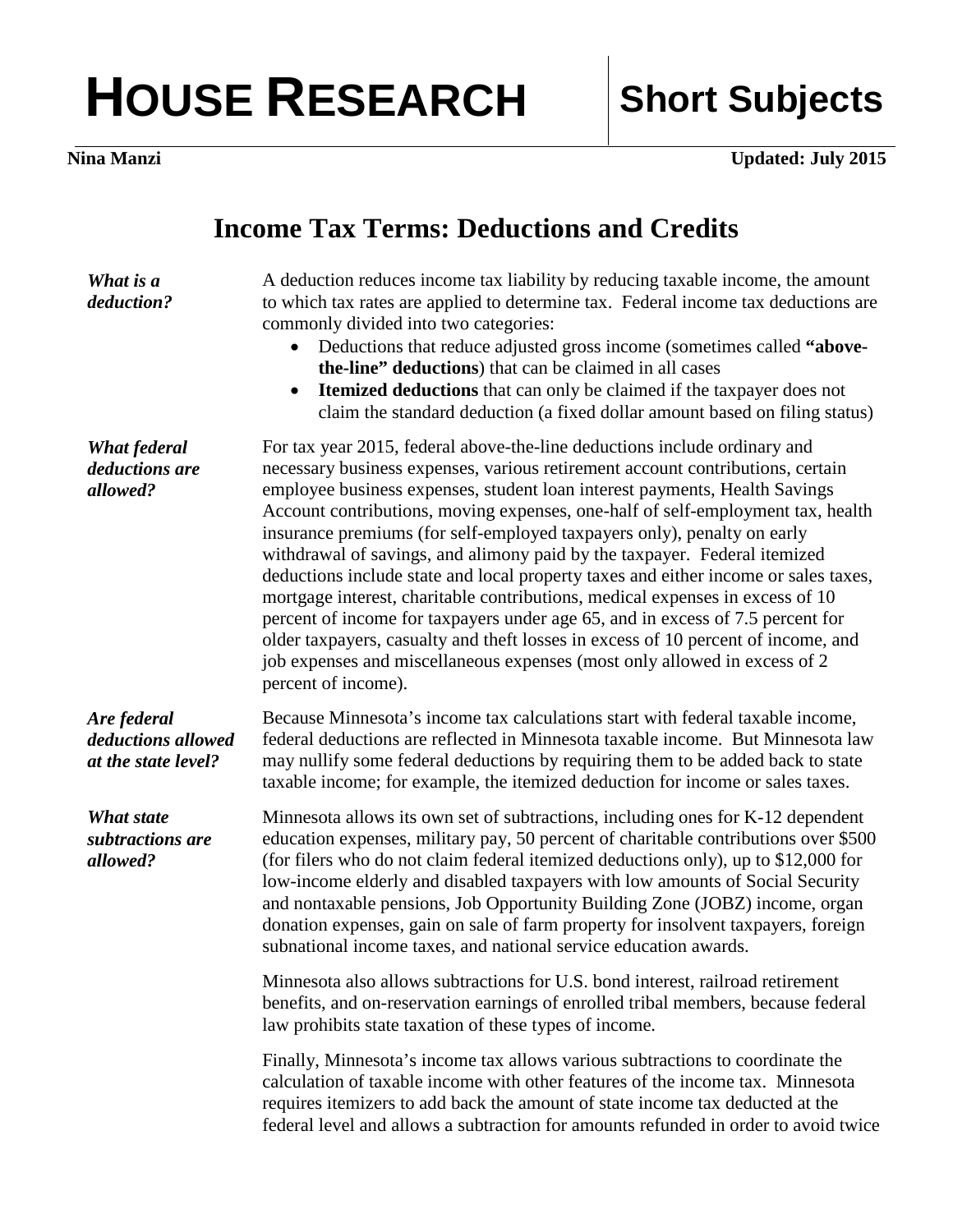## HOUSE RESEARCH | Short Subjects

**Nina Manzi Updated: July 2015**

## **Income Tax Terms: Deductions and Credits**

| What is a<br>deduction?                                  | A deduction reduces income tax liability by reducing taxable income, the amount<br>to which tax rates are applied to determine tax. Federal income tax deductions are<br>commonly divided into two categories:<br>Deductions that reduce adjusted gross income (sometimes called "above-<br>the-line" deductions) that can be claimed in all cases<br><b>Itemized deductions</b> that can only be claimed if the taxpayer does not<br>claim the standard deduction (a fixed dollar amount based on filing status)                                                                                                                                                                                                                                                                                                                                                                                                                       |
|----------------------------------------------------------|-----------------------------------------------------------------------------------------------------------------------------------------------------------------------------------------------------------------------------------------------------------------------------------------------------------------------------------------------------------------------------------------------------------------------------------------------------------------------------------------------------------------------------------------------------------------------------------------------------------------------------------------------------------------------------------------------------------------------------------------------------------------------------------------------------------------------------------------------------------------------------------------------------------------------------------------|
| What federal<br>deductions are<br>allowed?               | For tax year 2015, federal above-the-line deductions include ordinary and<br>necessary business expenses, various retirement account contributions, certain<br>employee business expenses, student loan interest payments, Health Savings<br>Account contributions, moving expenses, one-half of self-employment tax, health<br>insurance premiums (for self-employed taxpayers only), penalty on early<br>withdrawal of savings, and alimony paid by the taxpayer. Federal itemized<br>deductions include state and local property taxes and either income or sales taxes,<br>mortgage interest, charitable contributions, medical expenses in excess of 10<br>percent of income for taxpayers under age 65, and in excess of 7.5 percent for<br>older taxpayers, casualty and theft losses in excess of 10 percent of income, and<br>job expenses and miscellaneous expenses (most only allowed in excess of 2<br>percent of income). |
| Are federal<br>deductions allowed<br>at the state level? | Because Minnesota's income tax calculations start with federal taxable income,<br>federal deductions are reflected in Minnesota taxable income. But Minnesota law<br>may nullify some federal deductions by requiring them to be added back to state<br>taxable income; for example, the itemized deduction for income or sales taxes.                                                                                                                                                                                                                                                                                                                                                                                                                                                                                                                                                                                                  |
| What state<br>subtractions are<br>allowed?               | Minnesota allows its own set of subtractions, including ones for K-12 dependent<br>education expenses, military pay, 50 percent of charitable contributions over \$500<br>(for filers who do not claim federal itemized deductions only), up to \$12,000 for<br>low-income elderly and disabled taxpayers with low amounts of Social Security<br>and nontaxable pensions, Job Opportunity Building Zone (JOBZ) income, organ<br>donation expenses, gain on sale of farm property for insolvent taxpayers, foreign<br>subnational income taxes, and national service education awards.                                                                                                                                                                                                                                                                                                                                                   |
|                                                          | Minnesota also allows subtractions for U.S. bond interest, railroad retirement<br>benefits, and on-reservation earnings of enrolled tribal members, because federal<br>law prohibits state taxation of these types of income.                                                                                                                                                                                                                                                                                                                                                                                                                                                                                                                                                                                                                                                                                                           |
|                                                          | Finally, Minnesota's income tax allows various subtractions to coordinate the<br>calculation of taxable income with other features of the income tax. Minnesota<br>requires itemizers to add back the amount of state income tax deducted at the<br>federal level and allows a subtraction for amounts refunded in order to avoid twice                                                                                                                                                                                                                                                                                                                                                                                                                                                                                                                                                                                                 |